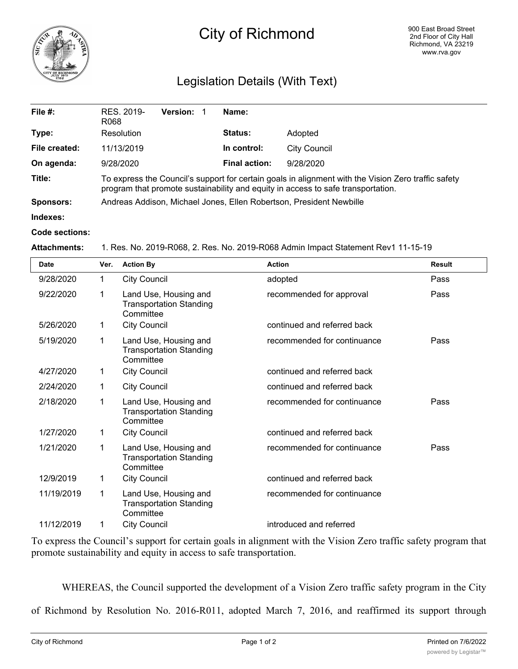

# City of Richmond

# Legislation Details (With Text)

| File $#$ :       | RES. 2019-<br>R068                                                                                                                                                                      | <b>Version:</b> | Name:                |              |  |  |
|------------------|-----------------------------------------------------------------------------------------------------------------------------------------------------------------------------------------|-----------------|----------------------|--------------|--|--|
| Type:            | Resolution                                                                                                                                                                              |                 | <b>Status:</b>       | Adopted      |  |  |
| File created:    | 11/13/2019                                                                                                                                                                              |                 | In control:          | City Council |  |  |
| On agenda:       | 9/28/2020                                                                                                                                                                               |                 | <b>Final action:</b> | 9/28/2020    |  |  |
| Title:           | To express the Council's support for certain goals in alignment with the Vision Zero traffic safety<br>program that promote sustainability and equity in access to safe transportation. |                 |                      |              |  |  |
| <b>Sponsors:</b> | Andreas Addison, Michael Jones, Ellen Robertson, President Newbille                                                                                                                     |                 |                      |              |  |  |
| Indexes:         |                                                                                                                                                                                         |                 |                      |              |  |  |
| Code sections:   |                                                                                                                                                                                         |                 |                      |              |  |  |

#### **Attachments:** 1. Res. No. 2019-R068, 2. Res. No. 2019-R068 Admin Impact Statement Rev1 11-15-19

| <b>Date</b> | Ver. | <b>Action By</b>                                                     | <b>Action</b>               | <b>Result</b> |
|-------------|------|----------------------------------------------------------------------|-----------------------------|---------------|
| 9/28/2020   | 1    | <b>City Council</b>                                                  | adopted                     | Pass          |
| 9/22/2020   | 1    | Land Use, Housing and<br><b>Transportation Standing</b><br>Committee | recommended for approval    | Pass          |
| 5/26/2020   | 1    | <b>City Council</b>                                                  | continued and referred back |               |
| 5/19/2020   | 1    | Land Use, Housing and<br><b>Transportation Standing</b><br>Committee | recommended for continuance | Pass          |
| 4/27/2020   | 1    | <b>City Council</b>                                                  | continued and referred back |               |
| 2/24/2020   | 1    | <b>City Council</b>                                                  | continued and referred back |               |
| 2/18/2020   | 1    | Land Use, Housing and<br><b>Transportation Standing</b><br>Committee | recommended for continuance | Pass          |
| 1/27/2020   | 1    | <b>City Council</b>                                                  | continued and referred back |               |
| 1/21/2020   | 1    | Land Use, Housing and<br><b>Transportation Standing</b><br>Committee | recommended for continuance | Pass          |
| 12/9/2019   | 1    | <b>City Council</b>                                                  | continued and referred back |               |
| 11/19/2019  | 1    | Land Use, Housing and<br><b>Transportation Standing</b><br>Committee | recommended for continuance |               |
| 11/12/2019  | 1    | <b>City Council</b>                                                  | introduced and referred     |               |

To express the Council's support for certain goals in alignment with the Vision Zero traffic safety program that promote sustainability and equity in access to safe transportation.

WHEREAS, the Council supported the development of a Vision Zero traffic safety program in the City

of Richmond by Resolution No. 2016-R011, adopted March 7, 2016, and reaffirmed its support through